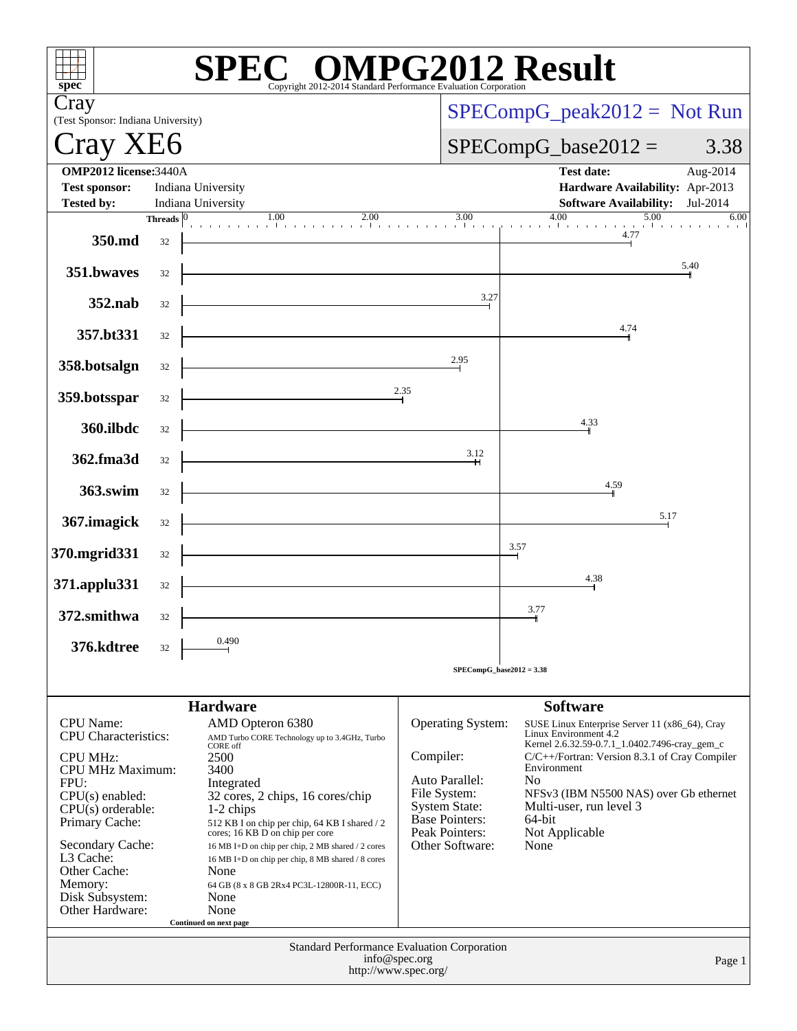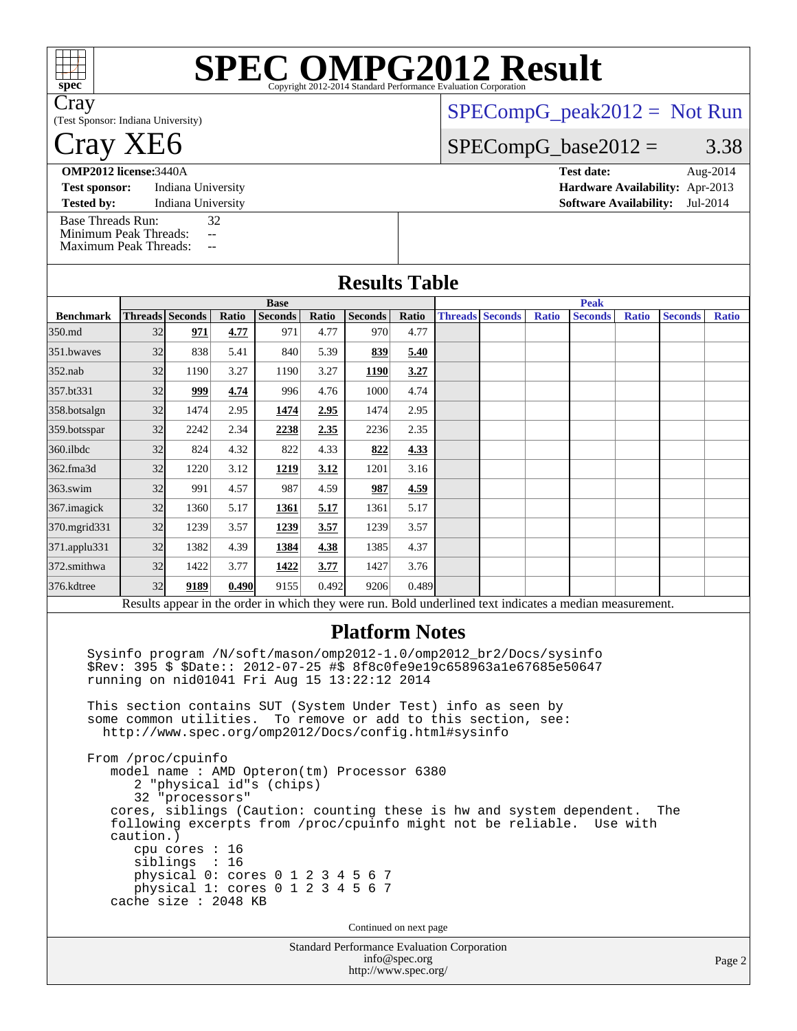| $\mathbb H$<br>spec <sup>®</sup>                                                  |           |                                                                                                    |                                      | <b>SPEC OMPG2012 Result</b>                                                                                                                                                                                                                                   |               | Copyright 2012-2014 Standard Performance Evaluation Corporation              |               |                        |              |                                                                                                                                               |              |                |              |
|-----------------------------------------------------------------------------------|-----------|----------------------------------------------------------------------------------------------------|--------------------------------------|---------------------------------------------------------------------------------------------------------------------------------------------------------------------------------------------------------------------------------------------------------------|---------------|------------------------------------------------------------------------------|---------------|------------------------|--------------|-----------------------------------------------------------------------------------------------------------------------------------------------|--------------|----------------|--------------|
| Cray<br>(Test Sponsor: Indiana University)                                        |           |                                                                                                    |                                      |                                                                                                                                                                                                                                                               |               |                                                                              |               |                        |              | $SPECompG_peak2012 = Not Run$                                                                                                                 |              |                |              |
| Cray XE6                                                                          |           |                                                                                                    |                                      |                                                                                                                                                                                                                                                               |               |                                                                              |               |                        |              | $SPECompG_base2012 =$                                                                                                                         |              |                | 3.38         |
| <b>OMP2012</b> license:3440A                                                      |           |                                                                                                    |                                      |                                                                                                                                                                                                                                                               |               |                                                                              |               |                        |              | <b>Test date:</b>                                                                                                                             |              |                | Aug-2014     |
| <b>Test sponsor:</b>                                                              |           | Indiana University                                                                                 |                                      |                                                                                                                                                                                                                                                               |               |                                                                              |               |                        |              | Hardware Availability: Apr-2013                                                                                                               |              |                |              |
| <b>Tested by:</b>                                                                 |           | Indiana University                                                                                 |                                      |                                                                                                                                                                                                                                                               |               |                                                                              |               |                        |              | <b>Software Availability:</b>                                                                                                                 |              |                | Jul-2014     |
| <b>Base Threads Run:</b><br>Minimum Peak Threads:<br><b>Maximum Peak Threads:</b> |           |                                                                                                    | 32<br>44<br>$\overline{\phantom{m}}$ |                                                                                                                                                                                                                                                               |               |                                                                              |               |                        |              |                                                                                                                                               |              |                |              |
|                                                                                   |           |                                                                                                    |                                      |                                                                                                                                                                                                                                                               |               | <b>Results Table</b>                                                         |               |                        |              |                                                                                                                                               |              |                |              |
|                                                                                   |           |                                                                                                    |                                      | <b>Base</b>                                                                                                                                                                                                                                                   |               |                                                                              |               |                        |              | <b>Peak</b>                                                                                                                                   |              |                |              |
| <b>Benchmark</b><br>350.md                                                        | 32        | <b>Threads Seconds</b><br>971                                                                      | Ratio<br>4.77                        | <b>Seconds</b><br>971                                                                                                                                                                                                                                         | Ratio<br>4.77 | <b>Seconds</b><br>970                                                        | Ratio<br>4.77 | <b>Threads Seconds</b> | <b>Ratio</b> | <b>Seconds</b>                                                                                                                                | <b>Ratio</b> | <b>Seconds</b> | <b>Ratio</b> |
| 351.bwaves                                                                        | 32        | 838                                                                                                | 5.41                                 | 840                                                                                                                                                                                                                                                           | 5.39          | 839                                                                          | 5.40          |                        |              |                                                                                                                                               |              |                |              |
| $352$ .nab                                                                        | 32        | 1190                                                                                               | 3.27                                 | 1190                                                                                                                                                                                                                                                          | 3.27          | <b>1190</b>                                                                  | 3.27          |                        |              |                                                                                                                                               |              |                |              |
| 357.bt331                                                                         | 32        | 999                                                                                                | 4.74                                 | 996                                                                                                                                                                                                                                                           | 4.76          | 1000                                                                         | 4.74          |                        |              |                                                                                                                                               |              |                |              |
| 358.botsalgn                                                                      | 32        | 1474                                                                                               | 2.95                                 | 1474                                                                                                                                                                                                                                                          | 2.95          | 1474                                                                         | 2.95          |                        |              |                                                                                                                                               |              |                |              |
| 359.botsspar                                                                      | 32        | 2242                                                                                               | 2.34                                 | 2238                                                                                                                                                                                                                                                          | 2.35          | 2236                                                                         | 2.35          |                        |              |                                                                                                                                               |              |                |              |
| 360.ilbdc                                                                         | 32        | 824                                                                                                | 4.32                                 | 822                                                                                                                                                                                                                                                           | 4.33          | 822                                                                          | 4.33          |                        |              |                                                                                                                                               |              |                |              |
| 362.fma3d                                                                         | 32        | 1220                                                                                               | 3.12                                 | 1219                                                                                                                                                                                                                                                          | 3.12          | 1201                                                                         | 3.16          |                        |              |                                                                                                                                               |              |                |              |
| 363.swim                                                                          | 32        | 991                                                                                                | 4.57                                 | 987                                                                                                                                                                                                                                                           | 4.59          | 987                                                                          | 4.59          |                        |              |                                                                                                                                               |              |                |              |
| 367.imagick                                                                       | 32        | 1360                                                                                               | 5.17                                 | 1361                                                                                                                                                                                                                                                          | 5.17          | 1361                                                                         | 5.17          |                        |              |                                                                                                                                               |              |                |              |
| 370.mgrid331                                                                      | 32        | 1239                                                                                               | 3.57                                 | 1239                                                                                                                                                                                                                                                          | 3.57          | 1239                                                                         | 3.57          |                        |              |                                                                                                                                               |              |                |              |
| 371.applu331                                                                      | 32        | 1382                                                                                               | 4.39                                 | 1384                                                                                                                                                                                                                                                          | 4.38          | 1385                                                                         | 4.37          |                        |              |                                                                                                                                               |              |                |              |
| 372.smithwa                                                                       | 32        | 1422                                                                                               | 3.77                                 | 1422                                                                                                                                                                                                                                                          | 3.77          | 1427                                                                         | 3.76          |                        |              |                                                                                                                                               |              |                |              |
| 376.kdtree                                                                        | 32        | 9189                                                                                               | 0.490                                | 9155                                                                                                                                                                                                                                                          | 0.492         | 9206                                                                         | 0.489         |                        |              |                                                                                                                                               |              |                |              |
|                                                                                   |           |                                                                                                    |                                      |                                                                                                                                                                                                                                                               |               |                                                                              |               |                        |              | Results appear in the order in which they were run. Bold underlined text indicates a median measurement.                                      |              |                |              |
|                                                                                   |           |                                                                                                    |                                      | Sysinfo program /N/soft/mason/omp2012-1.0/omp2012_br2/Docs/sysinfo<br>\$Rev: 395 \$ \$Date:: 2012-07-25 #\$ 8f8c0fe9e19c658963a1e67685e50647<br>running on nid01041 Fri Aug 15 13:22:12 2014<br>This section contains SUT (System Under Test) info as seen by |               | <b>Platform Notes</b>                                                        |               |                        |              |                                                                                                                                               |              |                |              |
|                                                                                   |           |                                                                                                    |                                      | some common utilities. To remove or add to this section, see:<br>http://www.spec.org/omp2012/Docs/config.html#sysinfo                                                                                                                                         |               |                                                                              |               |                        |              |                                                                                                                                               |              |                |              |
|                                                                                   | caution.) | From /proc/cpuinfo<br>32 "processors"<br>cpu cores $: 16$<br>siblings : 16<br>cache size : 2048 KB |                                      | model name : AMD Opteron(tm) Processor 6380<br>2 "physical id"s (chips)<br>physical 0: cores 0 1 2 3 4 5 6 7<br>physical 1: cores 0 1 2 3 4 5 6 7                                                                                                             |               |                                                                              |               |                        |              | cores, siblings (Caution: counting these is hw and system dependent.<br>following excerpts from /proc/cpuinfo might not be reliable. Use with |              | The            |              |
|                                                                                   |           |                                                                                                    |                                      |                                                                                                                                                                                                                                                               |               | Continued on next page<br><b>Standard Performance Evaluation Corporation</b> |               |                        |              |                                                                                                                                               |              |                |              |
|                                                                                   |           |                                                                                                    |                                      |                                                                                                                                                                                                                                                               |               |                                                                              | info@spec.org |                        |              |                                                                                                                                               |              |                | Page:        |

<http://www.spec.org/>

Page 2

# **[SPEC OMPG2012 Result](http://www.spec.org/auto/omp2012/Docs/result-fields.html#SPECOMPG2012Result)**

### [SPECompG\\_peak2012 =](http://www.spec.org/auto/omp2012/Docs/result-fields.html#SPECompGpeak2012) Not Run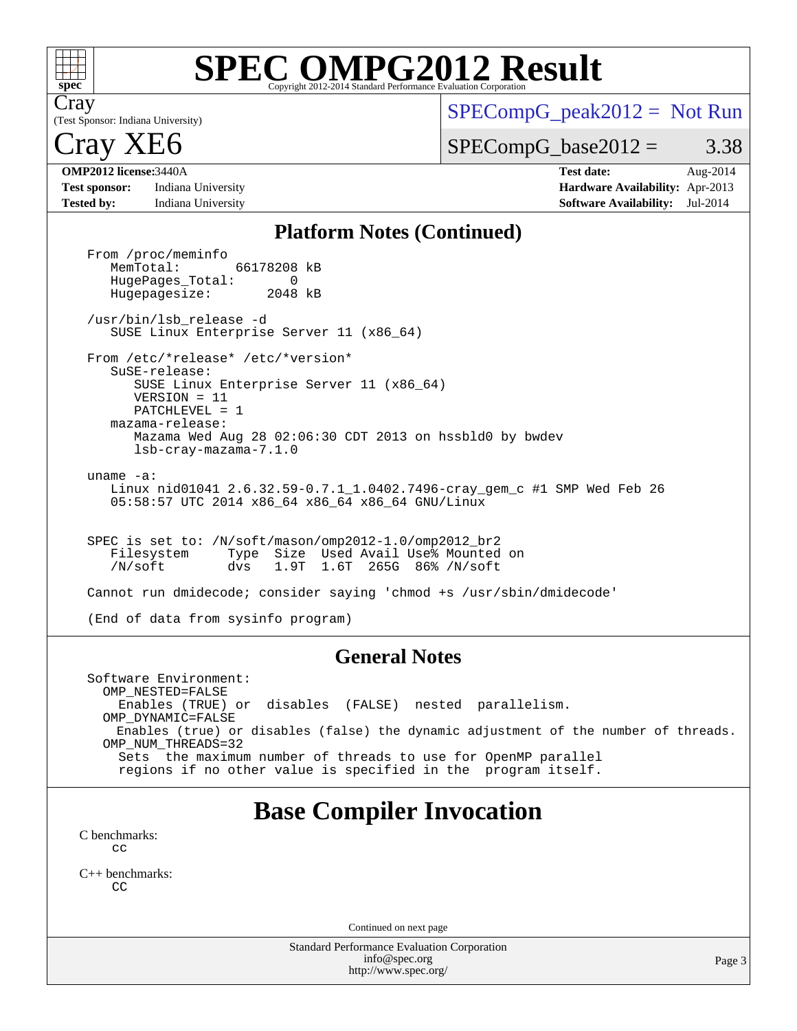

Cray

# **[SPEC OMPG2012 Result](http://www.spec.org/auto/omp2012/Docs/result-fields.html#SPECOMPG2012Result)**

(Test Sponsor: Indiana University)

 $SPECompG_peak2012 = Not Run$  $SPECompG_peak2012 = Not Run$ 

 $SPECompG_base2012 = 3.38$  $SPECompG_base2012 = 3.38$ 

ray 2

**[Test sponsor:](http://www.spec.org/auto/omp2012/Docs/result-fields.html#Testsponsor)** Indiana University **[Hardware Availability:](http://www.spec.org/auto/omp2012/Docs/result-fields.html#HardwareAvailability)** Apr-2013 **[Tested by:](http://www.spec.org/auto/omp2012/Docs/result-fields.html#Testedby)** Indiana University **[Software Availability:](http://www.spec.org/auto/omp2012/Docs/result-fields.html#SoftwareAvailability)** Jul-2014

**[OMP2012 license:](http://www.spec.org/auto/omp2012/Docs/result-fields.html#OMP2012license)**3440A **[Test date:](http://www.spec.org/auto/omp2012/Docs/result-fields.html#Testdate)** Aug-2014

#### **[Platform Notes \(Continued\)](http://www.spec.org/auto/omp2012/Docs/result-fields.html#PlatformNotes)**

From /proc/meminfo<br>MemTotal: 66178208 kB HugePages\_Total: 0<br>Hugepagesize: 2048 kB Hugepagesize: /usr/bin/lsb\_release -d SUSE Linux Enterprise Server 11 (x86\_64) From /etc/\*release\* /etc/\*version\* SuSE-release: SUSE Linux Enterprise Server 11 (x86\_64) VERSION = 11 PATCHLEVEL = 1 mazama-release: Mazama Wed Aug 28 02:06:30 CDT 2013 on hssbld0 by bwdev lsb-cray-mazama-7.1.0 uname -a: Linux nid01041 2.6.32.59-0.7.1\_1.0402.7496-cray\_gem\_c #1 SMP Wed Feb 26 05:58:57 UTC 2014 x86\_64 x86\_64 x86\_64 GNU/Linux SPEC is set to: /N/soft/mason/omp2012-1.0/omp2012\_br2 Filesystem Type Size Used Avail Use% Mounted on /N/soft dvs 1.9T 1.6T 265G 86% /N/soft Cannot run dmidecode; consider saying 'chmod +s /usr/sbin/dmidecode'

(End of data from sysinfo program)

#### **[General Notes](http://www.spec.org/auto/omp2012/Docs/result-fields.html#GeneralNotes)**

 Software Environment: OMP\_NESTED=FALSE Enables (TRUE) or disables (FALSE) nested parallelism. OMP\_DYNAMIC=FALSE Enables (true) or disables (false) the dynamic adjustment of the number of threads. OMP\_NUM\_THREADS=32 Sets the maximum number of threads to use for OpenMP parallel regions if no other value is specified in the program itself.

## **[Base Compiler Invocation](http://www.spec.org/auto/omp2012/Docs/result-fields.html#BaseCompilerInvocation)**

[C benchmarks](http://www.spec.org/auto/omp2012/Docs/result-fields.html#Cbenchmarks): [cc](http://www.spec.org/omp2012/results/res2014q3/omp2012-20140829-00058.flags.html#user_CCbase_Cray_cc)

[C++ benchmarks:](http://www.spec.org/auto/omp2012/Docs/result-fields.html#CXXbenchmarks) **[CC](http://www.spec.org/omp2012/results/res2014q3/omp2012-20140829-00058.flags.html#user_CXXbase_Cray_CC)** 

Continued on next page

Standard Performance Evaluation Corporation [info@spec.org](mailto:info@spec.org) <http://www.spec.org/>